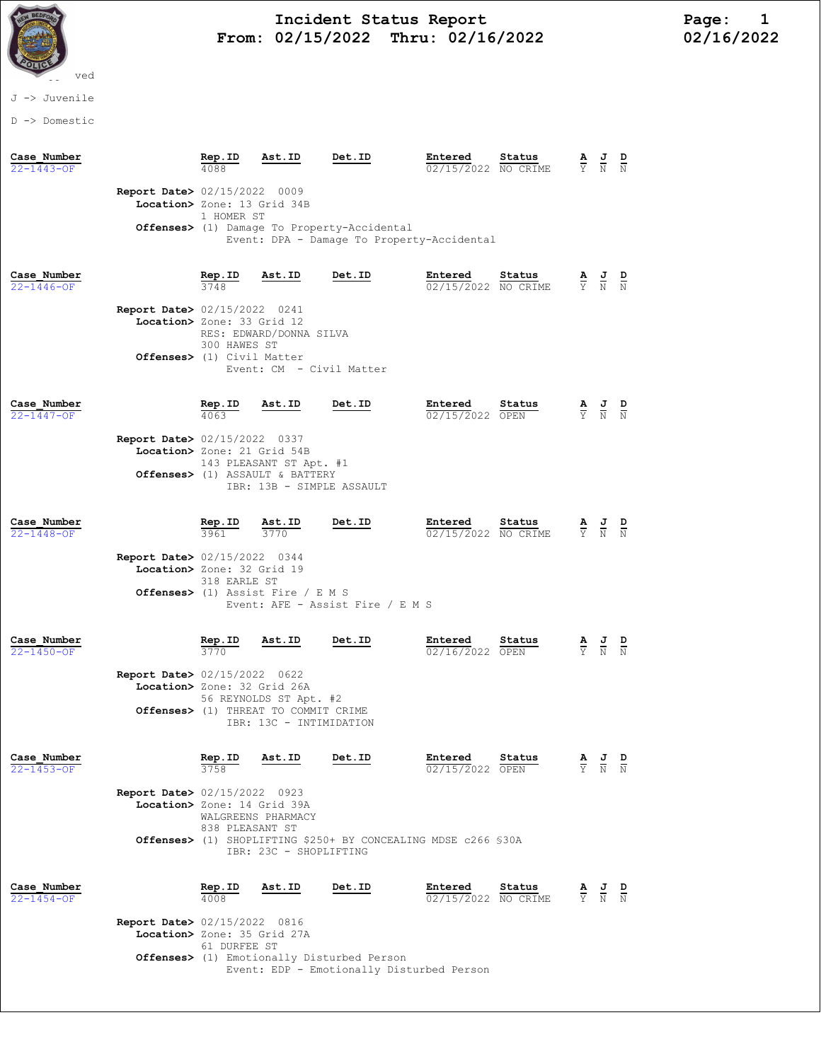

## Incident Status Report<br>02/15/2022 Thru: 02/16/2022 102/16/2022 From:  $02/15/2022$  Thru:  $02/16/2022$

## J -> Juvenile

D -> Domestic

| Case Number<br>22-1443-OF       |                                                                                                              | Rep.ID                                                                                    | Ast.ID                                                                                                                                                   | Det.ID                                                         | Entered<br>02/15/2022 NO CRIME | Status |                                                                 | $\overline{\rm N}$                                                                              | $\overline{\overline{\mathrm{N}}}$ |  |
|---------------------------------|--------------------------------------------------------------------------------------------------------------|-------------------------------------------------------------------------------------------|----------------------------------------------------------------------------------------------------------------------------------------------------------|----------------------------------------------------------------|--------------------------------|--------|-----------------------------------------------------------------|-------------------------------------------------------------------------------------------------|------------------------------------|--|
|                                 | <b>Report Date&gt;</b> 02/15/2022 0009<br>Location> Zone: 13 Grid 34B                                        | 1 HOMER ST                                                                                |                                                                                                                                                          |                                                                |                                |        |                                                                 |                                                                                                 |                                    |  |
|                                 |                                                                                                              | Offenses> (1) Damage To Property-Accidental<br>Event: DPA - Damage To Property-Accidental |                                                                                                                                                          |                                                                |                                |        |                                                                 |                                                                                                 |                                    |  |
| Case Number<br>$22 - 1446 - OF$ |                                                                                                              | <u>Rep.ID</u><br>3748                                                                     | Ast.ID                                                                                                                                                   | Det.ID                                                         | Entered<br>02/15/2022 NO CRIME | Status |                                                                 | $\frac{\mathbf{A}}{\mathbf{Y}}$ $\frac{\mathbf{J}}{\mathbf{N}}$ $\frac{\mathbf{D}}{\mathbf{N}}$ |                                    |  |
|                                 | <b>Report Date&gt; 02/15/2022 0241</b><br>Location> Zone: 33 Grid 12<br><b>Offenses&gt;</b> (1) Civil Matter | 300 HAWES ST                                                                              | RES: EDWARD/DONNA SILVA<br>Event: CM - Civil Matter                                                                                                      |                                                                |                                |        |                                                                 |                                                                                                 |                                    |  |
| Case Number<br>22-1447-OF       |                                                                                                              | Rep.ID<br>4063                                                                            | Ast.ID                                                                                                                                                   | Det.ID                                                         | Entered<br>02/15/2022 OPEN     | Status | $\frac{\mathbf{A}}{\mathbf{Y}}$ $\frac{\mathbf{J}}{\mathbf{N}}$ |                                                                                                 |                                    |  |
|                                 | <b>Report Date&gt; 02/15/2022 0337</b><br>Location> Zone: 21 Grid 54B                                        |                                                                                           | 143 PLEASANT ST Apt. #1<br>Offenses> (1) ASSAULT & BATTERY<br>IBR: 13B - SIMPLE ASSAULT                                                                  |                                                                |                                |        |                                                                 |                                                                                                 |                                    |  |
| Case Number<br>$22 - 1448 - OF$ |                                                                                                              | Rep.ID<br>3961                                                                            | Ast.ID<br>3770                                                                                                                                           | Det.ID                                                         | Entered<br>02/15/2022 NO CRIME | Status | $\frac{\mathbf{A}}{\mathbf{Y}}$ $\frac{\mathbf{J}}{\mathbf{N}}$ |                                                                                                 |                                    |  |
|                                 | <b>Report Date&gt; 02/15/2022 0344</b><br>Location> Zone: 32 Grid 19                                         | 318 EARLE ST                                                                              | Offenses> (1) Assist Fire / E M S                                                                                                                        | Event: AFE - Assist Fire / E M S                               |                                |        |                                                                 |                                                                                                 |                                    |  |
| Case Number<br>$22 - 1450 - OF$ |                                                                                                              | Rep.ID<br>3770                                                                            | Ast.ID                                                                                                                                                   | Det.ID                                                         | Entered<br>02/16/2022 OPEN     | Status |                                                                 |                                                                                                 |                                    |  |
|                                 |                                                                                                              |                                                                                           | Report Date> 02/15/2022 0622<br>Location> Zone: 32 Grid 26A<br>56 REYNOLDS ST Apt. #2<br>Offenses> (1) THREAT TO COMMIT CRIME<br>IBR: 13C - INTIMIDATION |                                                                |                                |        |                                                                 |                                                                                                 |                                    |  |
| Case Number<br>22-1453-0F       |                                                                                                              | Rep.ID<br>3758                                                                            | Ast.ID                                                                                                                                                   | Det.ID                                                         | Entered<br>02/15/2022 OPEN     | Status | $\overline{Y}$                                                  | J<br>$\overline{\text{N}}$                                                                      | $\overline{N}$                     |  |
|                                 | <b>Report Date&gt;</b> 02/15/2022 0923<br>Location> Zone: 14 Grid 39A                                        | 838 PLEASANT ST                                                                           | WALGREENS PHARMACY<br>IBR: 23C - SHOPLIFTING                                                                                                             | Offenses> (1) SHOPLIFTING \$250+ BY CONCEALING MDSE c266 \$30A |                                |        |                                                                 |                                                                                                 |                                    |  |
| Case Number<br>$22 - 1454 - OF$ |                                                                                                              | Rep.ID<br>4008                                                                            | Ast.ID                                                                                                                                                   | Det.ID                                                         | Entered<br>02/15/2022 NO CRIME | Status | $\frac{\mathbf{A}}{\mathbf{Y}}$ $\frac{\mathbf{J}}{\mathbf{N}}$ |                                                                                                 | $\frac{D}{N}$                      |  |
|                                 | <b>Report Date&gt; 02/15/2022 0816</b><br>Location> Zone: 35 Grid 27A                                        | 61 DURFEE ST                                                                              |                                                                                                                                                          |                                                                |                                |        |                                                                 |                                                                                                 |                                    |  |
|                                 |                                                                                                              |                                                                                           | Offenses> (1) Emotionally Disturbed Person<br>Event: EDP - Emotionally Disturbed Person                                                                  |                                                                |                                |        |                                                                 |                                                                                                 |                                    |  |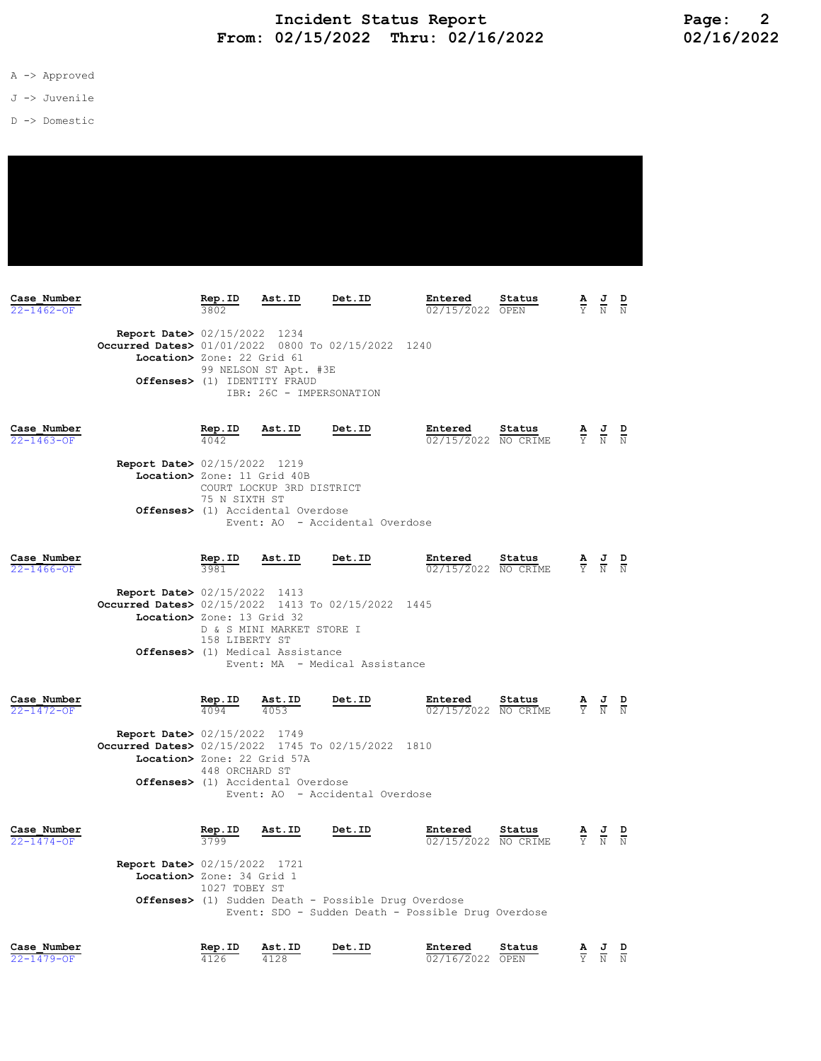- A -> Approved
- J -> Juvenile
- D -> Domestic

| Case Number<br>$22 - 1462 - OF$ |                                                                                                                            | Rep.ID         | Ast.ID                                                                                                                                                                                      | Det.ID                         | Entered<br>02/15/2022 OPEN     | Status |  | $\frac{\mathbf{A}}{\mathbf{Y}}$ $\frac{\mathbf{J}}{\mathbf{N}}$                                 | $\frac{D}{N}$ |
|---------------------------------|----------------------------------------------------------------------------------------------------------------------------|----------------|---------------------------------------------------------------------------------------------------------------------------------------------------------------------------------------------|--------------------------------|--------------------------------|--------|--|-------------------------------------------------------------------------------------------------|---------------|
|                                 | <b>Report Date&gt; 02/15/2022 1234</b><br>Occurred Dates> 01/01/2022 0800 To 02/15/2022 1240<br>Location> Zone: 22 Grid 61 |                | 99 NELSON ST Apt. #3E<br>Offenses> (1) IDENTITY FRAUD                                                                                                                                       | IBR: 26C - IMPERSONATION       |                                |        |  |                                                                                                 |               |
| Case Number<br>$22 - 1463 - OF$ |                                                                                                                            | Rep.ID<br>4042 | Ast.ID                                                                                                                                                                                      | Det.ID                         | Entered<br>02/15/2022 NO CRIME | Status |  | $\frac{\mathbf{A}}{\mathbf{Y}}$ $\frac{\mathbf{J}}{\mathbf{N}}$ $\frac{\mathbf{D}}{\mathbf{N}}$ |               |
|                                 |                                                                                                                            |                | <b>Report Date&gt; 02/15/2022 1219</b><br>Location> Zone: 11 Grid 40B<br>COURT LOCKUP 3RD DISTRICT<br>75 N SIXTH ST<br>Offenses> (1) Accidental Overdose<br>Event: AO - Accidental Overdose |                                |                                |        |  |                                                                                                 |               |
| Case Number<br>$22 - 1466 - OF$ |                                                                                                                            | Rep.ID<br>3981 | Ast.ID                                                                                                                                                                                      | Det.ID                         | Entered<br>02/15/2022 NO CRIME | Status |  | $\frac{\mathbf{A}}{\mathbf{Y}}$ $\frac{\mathbf{J}}{\mathbf{N}}$                                 | $\frac{D}{N}$ |
|                                 | <b>Report Date&gt; 02/15/2022 1413</b><br>Occurred Dates> 02/15/2022 1413 To 02/15/2022 1445<br>Location> Zone: 13 Grid 32 | 158 LIBERTY ST | D & S MINI MARKET STORE I<br>Offenses> (1) Medical Assistance                                                                                                                               | Event: MA - Medical Assistance |                                |        |  |                                                                                                 |               |

| Case Number<br>$22 - 1472 - OF$ |                                                                                                                             | Rep.ID<br>4094                                                                                                                                                                                              | Ast.ID<br>4053                              | Det.ID                          | Entered<br>02/15/2022          | Status<br>NO CRIME | $\frac{\mathbf{A}}{\nabla}$ | $\frac{1}{N}$                                                                                   | $\frac{D}{N}$ |
|---------------------------------|-----------------------------------------------------------------------------------------------------------------------------|-------------------------------------------------------------------------------------------------------------------------------------------------------------------------------------------------------------|---------------------------------------------|---------------------------------|--------------------------------|--------------------|-----------------------------|-------------------------------------------------------------------------------------------------|---------------|
|                                 | <b>Report Date&gt; 02/15/2022 1749</b><br>Occurred Dates> 02/15/2022 1745 To 02/15/2022 1810<br>Location> Zone: 22 Grid 57A | 448 ORCHARD ST                                                                                                                                                                                              | <b>Offenses&gt;</b> (1) Accidental Overdose | Event: AO - Accidental Overdose |                                |                    |                             |                                                                                                 |               |
| Case Number<br>$22 - 1474 - OF$ |                                                                                                                             | Rep.ID<br>3799                                                                                                                                                                                              | Ast.ID                                      | Det.ID                          | Entered<br>02/15/2022 NO CRIME | Status             |                             | $\frac{\mathbf{A}}{\mathbf{Y}}$ $\frac{\mathbf{J}}{\mathbf{N}}$ $\frac{\mathbf{D}}{\mathbf{N}}$ |               |
|                                 |                                                                                                                             | <b>Report Date&gt; 02/15/2022</b> 1721<br>Location> Zone: 34 Grid 1<br>1027 TOBEY ST<br><b>Offenses&gt;</b> (1) Sudden Death - Possible Drug Overdose<br>Event: SDO - Sudden Death - Possible Drug Overdose |                                             |                                 |                                |                    |                             |                                                                                                 |               |
| Case Number                     |                                                                                                                             | Rep.ID                                                                                                                                                                                                      | Ast.ID                                      | Det.ID                          | Entered                        | Status             |                             | AJD                                                                                             |               |

22-1479-OF 4126 4128 02/16/2022 OPEN Y N N